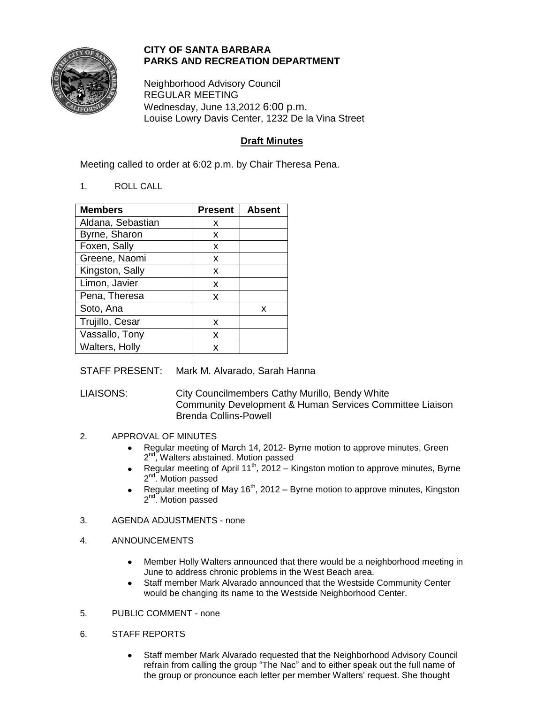

## **CITY OF SANTA BARBARA PARKS AND RECREATION DEPARTMENT**

Neighborhood Advisory Council REGULAR MEETING Wednesday, June 13,2012 6:00 p.m. Louise Lowry Davis Center, 1232 De la Vina Street

# **Draft Minutes**

Meeting called to order at 6:02 p.m. by Chair Theresa Pena.

1. ROLL CALL

| <b>Members</b>    | <b>Present</b> | <b>Absent</b> |
|-------------------|----------------|---------------|
| Aldana, Sebastian | x              |               |
| Byrne, Sharon     | x              |               |
| Foxen, Sally      | x              |               |
| Greene, Naomi     | x              |               |
| Kingston, Sally   | x              |               |
| Limon, Javier     | x              |               |
| Pena, Theresa     | x              |               |
| Soto, Ana         |                | x             |
| Trujillo, Cesar   | x              |               |
| Vassallo, Tony    | x              |               |
| Walters, Holly    | x              |               |

STAFF PRESENT: Mark M. Alvarado, Sarah Hanna

LIAISONS: City Councilmembers Cathy Murillo, Bendy White Community Development & Human Services Committee Liaison Brenda Collins-Powell

## 2. APPROVAL OF MINUTES

- Regular meeting of March 14, 2012- Byrne motion to approve minutes, Green 2<sup>nd</sup>, Walters abstained. Motion passed
- Regular meeting of April 11<sup>th</sup>, 2012 Kingston motion to approve minutes, Byrne 2<sup>nd</sup>. Motion passed
- Regular meeting of May  $16<sup>th</sup>$ , 2012 Byrne motion to approve minutes, Kingston 2<sup>nd</sup>. Motion passed
- 3. AGENDA ADJUSTMENTS none

### 4. ANNOUNCEMENTS

- Member Holly Walters announced that there would be a neighborhood meeting in  $\bullet$ June to address chronic problems in the West Beach area.
- Staff member Mark Alvarado announced that the Westside Community Center  $\bullet$ would be changing its name to the Westside Neighborhood Center.
- 5. PUBLIC COMMENT none
- 6. STAFF REPORTS
	- Staff member Mark Alvarado requested that the Neighborhood Advisory Council  $\bullet$ refrain from calling the group "The Nac" and to either speak out the full name of the group or pronounce each letter per member Walters' request. She thought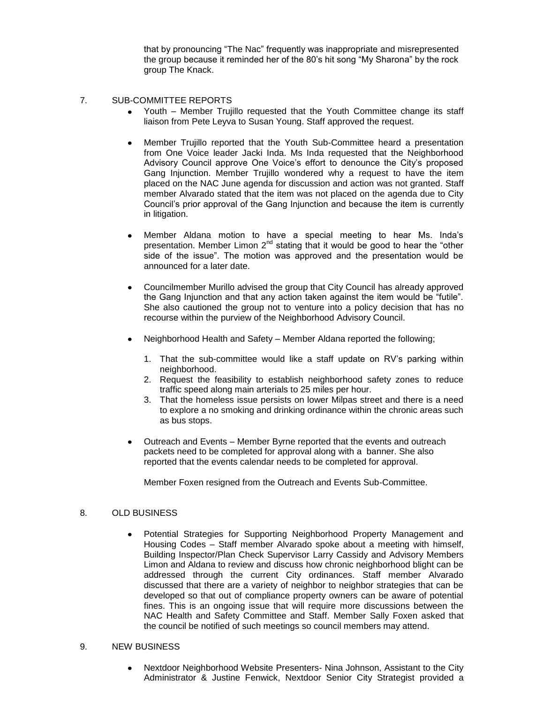that by pronouncing "The Nac" frequently was inappropriate and misrepresented the group because it reminded her of the 80's hit song "My Sharona" by the rock group The Knack.

#### 7. SUB-COMMITTEE REPORTS

- Youth Member Trujillo requested that the Youth Committee change its staff liaison from Pete Leyva to Susan Young. Staff approved the request.
- Member Trujillo reported that the Youth Sub-Committee heard a presentation from One Voice leader Jacki Inda. Ms Inda requested that the Neighborhood Advisory Council approve One Voice's effort to denounce the City's proposed Gang Injunction. Member Trujillo wondered why a request to have the item placed on the NAC June agenda for discussion and action was not granted. Staff member Alvarado stated that the item was not placed on the agenda due to City Council's prior approval of the Gang Injunction and because the item is currently in litigation.
- Member Aldana motion to have a special meeting to hear Ms. Inda's presentation. Member Limon  $2^{nd}$  stating that it would be good to hear the "other side of the issue". The motion was approved and the presentation would be announced for a later date.
- $\bullet$ Councilmember Murillo advised the group that City Council has already approved the Gang Injunction and that any action taken against the item would be "futile". She also cautioned the group not to venture into a policy decision that has no recourse within the purview of the Neighborhood Advisory Council.
- Neighborhood Health and Safety Member Aldana reported the following;
	- 1. That the sub-committee would like a staff update on RV's parking within neighborhood.
	- 2. Request the feasibility to establish neighborhood safety zones to reduce traffic speed along main arterials to 25 miles per hour.
	- 3. That the homeless issue persists on lower Milpas street and there is a need to explore a no smoking and drinking ordinance within the chronic areas such as bus stops.
- Outreach and Events Member Byrne reported that the events and outreach  $\bullet$ packets need to be completed for approval along with a banner. She also reported that the events calendar needs to be completed for approval.

Member Foxen resigned from the Outreach and Events Sub-Committee.

### 8. OLD BUSINESS

Potential Strategies for Supporting Neighborhood Property Management and Housing Codes – Staff member Alvarado spoke about a meeting with himself, Building Inspector/Plan Check Supervisor Larry Cassidy and Advisory Members Limon and Aldana to review and discuss how chronic neighborhood blight can be addressed through the current City ordinances. Staff member Alvarado discussed that there are a variety of neighbor to neighbor strategies that can be developed so that out of compliance property owners can be aware of potential fines. This is an ongoing issue that will require more discussions between the NAC Health and Safety Committee and Staff. Member Sally Foxen asked that the council be notified of such meetings so council members may attend.

#### 9. NEW BUSINESS

Nextdoor Neighborhood Website Presenters- Nina Johnson, Assistant to the City Administrator & Justine Fenwick, Nextdoor Senior City Strategist provided a